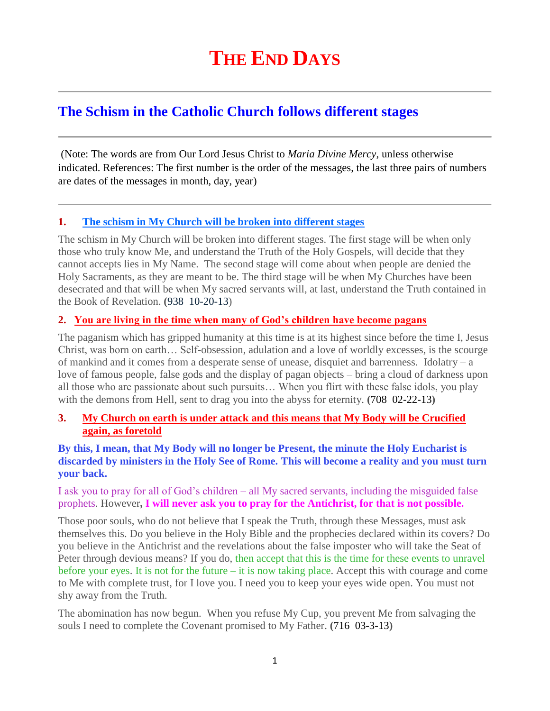# **The Schism in the Catholic Church follows different stages**

(Note: The words are from Our Lord Jesus Christ to *Maria Divine Mercy*, unless otherwise indicated. References: The first number is the order of the messages, the last three pairs of numbers are dates of the messages in month, day, year)

# **1. [The schism in My Church will be broken into different stages](http://www.thewarningsecondcoming.com/the-schism-in-my-church-will-be-broken-into-different-stages/)**

The schism in My Church will be broken into different stages. The first stage will be when only those who truly know Me, and understand the Truth of the Holy Gospels, will decide that they cannot accepts lies in My Name. The second stage will come about when people are denied the Holy Sacraments, as they are meant to be. The third stage will be when My Churches have been desecrated and that will be when My sacred servants will, at last, understand the Truth contained in the Book of Revelation. **(**938 10-20-13)

# **2. [You are living in the time when many of God's children have become pagans](http://www.thewarningsecondcoming.com/you-are-living-in-the-time-when-many-of-gods-children-have-become-pagans/)**

The paganism which has gripped humanity at this time is at its highest since before the time I, Jesus Christ, was born on earth… Self-obsession, adulation and a love of worldly excesses, is the scourge of mankind and it comes from a desperate sense of unease, disquiet and barrenness. Idolatry – a love of famous people, false gods and the display of pagan objects – bring a cloud of darkness upon all those who are passionate about such pursuits… When you flirt with these false idols, you play with the demons from Hell, sent to drag you into the abyss for eternity. **(**708 02-22-13**)**

# **3. [My Church on earth is under attack and this means that My Body will be Crucified](http://www.thewarningsecondcoming.com/my-church-on-earth-is-under-attack-and-this-means-that-my-body-will-be-crucified-again-as-foretold/)  [again, as foretold](http://www.thewarningsecondcoming.com/my-church-on-earth-is-under-attack-and-this-means-that-my-body-will-be-crucified-again-as-foretold/)**

#### **By this, I mean, that My Body will no longer be Present, the minute the Holy Eucharist is discarded by ministers in the Holy See of Rome. This will become a reality and you must turn your back.**

I ask you to pray for all of God's children – all My sacred servants, including the misguided false prophets. However**, I will never ask you to pray for the Antichrist, for that is not possible.**

Those poor souls, who do not believe that I speak the Truth, through these Messages, must ask themselves this. Do you believe in the Holy Bible and the prophecies declared within its covers? Do you believe in the Antichrist and the revelations about the false imposter who will take the Seat of Peter through devious means? If you do, then accept that this is the time for these events to unravel before your eyes. It is not for the future – it is now taking place. Accept this with courage and come to Me with complete trust, for I love you. I need you to keep your eyes wide open. You must not shy away from the Truth.

The abomination has now begun. When you refuse My Cup, you prevent Me from salvaging the souls I need to complete the Covenant promised to My Father. **(**716 03-3-13**)**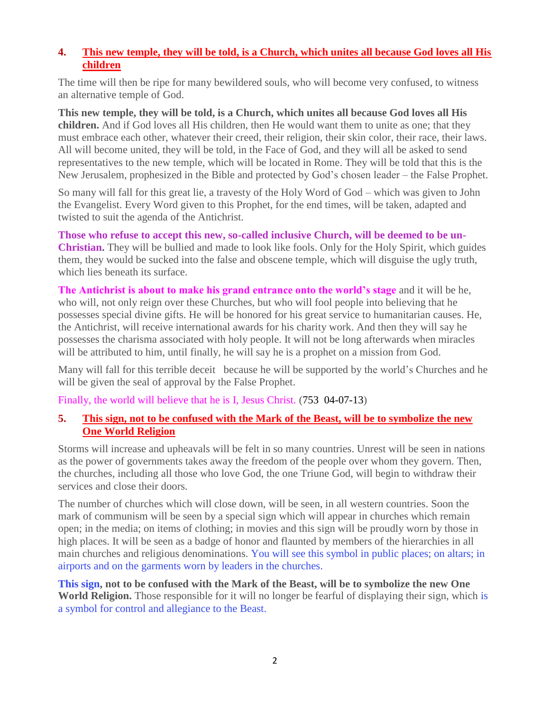# **4. [This new temple, they will be told, is a Church, which unites all because God loves all His](http://www.thewarningsecondcoming.com/this-new-temple-they-will-be-told-is-a-church-which-unites-all-because-god-loves-all-his-children/)  [children](http://www.thewarningsecondcoming.com/this-new-temple-they-will-be-told-is-a-church-which-unites-all-because-god-loves-all-his-children/)**

The time will then be ripe for many bewildered souls, who will become very confused, to witness an alternative temple of God.

**This new temple, they will be told, is a Church, which unites all because God loves all His children.** And if God loves all His children, then He would want them to unite as one; that they must embrace each other, whatever their creed, their religion, their skin color, their race, their laws. All will become united, they will be told, in the Face of God, and they will all be asked to send representatives to the new temple, which will be located in Rome. They will be told that this is the New Jerusalem, prophesized in the Bible and protected by God's chosen leader – the False Prophet.

So many will fall for this great lie, a travesty of the Holy Word of God – which was given to John the Evangelist. Every Word given to this Prophet, for the end times, will be taken, adapted and twisted to suit the agenda of the Antichrist.

**Those who refuse to accept this new, so-called inclusive Church, will be deemed to be un-Christian.** They will be bullied and made to look like fools. Only for the Holy Spirit, which guides them, they would be sucked into the false and obscene temple, which will disguise the ugly truth, which lies beneath its surface.

**The Antichrist is about to make his grand entrance onto the world's stage** and it will be he, who will, not only reign over these Churches, but who will fool people into believing that he possesses special divine gifts. He will be honored for his great service to humanitarian causes. He, the Antichrist, will receive international awards for his charity work. And then they will say he possesses the charisma associated with holy people. It will not be long afterwards when miracles will be attributed to him, until finally, he will say he is a prophet on a mission from God.

Many will fall for this terrible deceit because he will be supported by the world's Churches and he will be given the seal of approval by the False Prophet.

Finally, the world will believe that he is I, Jesus Christ. (753 04-07-13)

# **5. [This sign, not to be confused with the Mark of the Beast, will](http://www.thewarningsecondcoming.com/this-sign-not-to-be-confused-with-the-mark-of-the-beast-will-be-to-symbolise-the-new-one-world-religion/) be to symbolize the new [One World Religion](http://www.thewarningsecondcoming.com/this-sign-not-to-be-confused-with-the-mark-of-the-beast-will-be-to-symbolise-the-new-one-world-religion/)**

Storms will increase and upheavals will be felt in so many countries. Unrest will be seen in nations as the power of governments takes away the freedom of the people over whom they govern. Then, the churches, including all those who love God, the one Triune God, will begin to withdraw their services and close their doors.

The number of churches which will close down, will be seen, in all western countries. Soon the mark of communism will be seen by a special sign which will appear in churches which remain open; in the media; on items of clothing; in movies and this sign will be proudly worn by those in high places. It will be seen as a badge of honor and flaunted by members of the hierarchies in all main churches and religious denominations. You will see this symbol in public places; on altars; in airports and on the garments worn by leaders in the churches.

**This sign, not to be confused with the Mark of the Beast, will be to symbolize the new One World Religion.** Those responsible for it will no longer be fearful of displaying their sign, which is a symbol for control and allegiance to the Beast.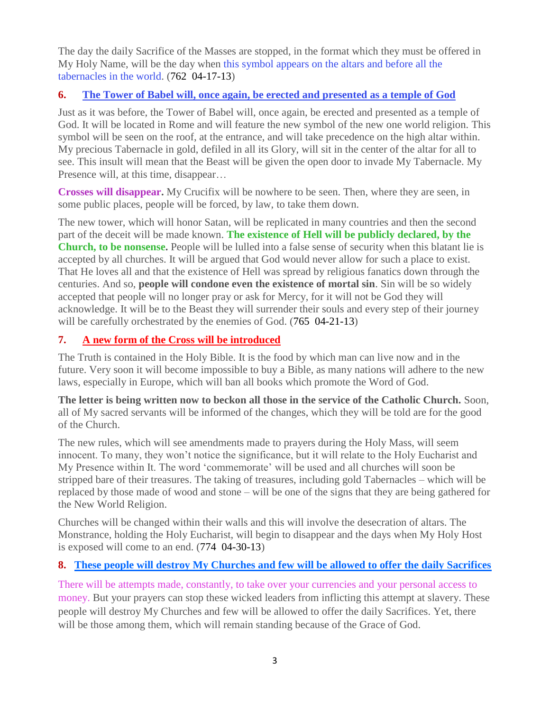The day the daily Sacrifice of the Masses are stopped, in the format which they must be offered in My Holy Name, will be the day when this symbol appears on the altars and before all the tabernacles in the world. (762 04-17-13)

# **6. [The Tower of Babel will, once again, be erected and presented as a temple of God](http://www.thewarningsecondcoming.com/the-tower-of-babel-will-once-again-be-erected-and-presented-as-a-temple-of-god/)**

Just as it was before, the Tower of Babel will, once again, be erected and presented as a temple of God. It will be located in Rome and will feature the new symbol of the new one world religion. This symbol will be seen on the roof, at the entrance, and will take precedence on the high altar within. My precious Tabernacle in gold, defiled in all its Glory, will sit in the center of the altar for all to see. This insult will mean that the Beast will be given the open door to invade My Tabernacle. My Presence will, at this time, disappear...

**Crosses will disappear.** My Crucifix will be nowhere to be seen. Then, where they are seen, in some public places, people will be forced, by law, to take them down.

The new tower, which will honor Satan, will be replicated in many countries and then the second part of the deceit will be made known. **The existence of Hell will be publicly declared, by the Church, to be nonsense.** People will be lulled into a false sense of security when this blatant lie is accepted by all churches. It will be argued that God would never allow for such a place to exist. That He loves all and that the existence of Hell was spread by religious fanatics down through the centuries. And so, **people will condone even the existence of mortal sin**. Sin will be so widely accepted that people will no longer pray or ask for Mercy, for it will not be God they will acknowledge. It will be to the Beast they will surrender their souls and every step of their journey will be carefully orchestrated by the enemies of God. (765 04-21-13)

# **7. [A new form of the Cross will be introduced](http://www.thewarningsecondcoming.com/a-new-form-of-the-cross-will-be-introduced/)**

The Truth is contained in the Holy Bible. It is the food by which man can live now and in the future. Very soon it will become impossible to buy a Bible, as many nations will adhere to the new laws, especially in Europe, which will ban all books which promote the Word of God.

**The letter is being written now to beckon all those in the service of the Catholic Church.** Soon, all of My sacred servants will be informed of the changes, which they will be told are for the good of the Church.

The new rules, which will see amendments made to prayers during the Holy Mass, will seem innocent. To many, they won't notice the significance, but it will relate to the Holy Eucharist and My Presence within It. The word 'commemorate' will be used and all churches will soon be stripped bare of their treasures. The taking of treasures, including gold Tabernacles – which will be replaced by those made of wood and stone – will be one of the signs that they are being gathered for the New World Religion.

Churches will be changed within their walls and this will involve the desecration of altars. The Monstrance, holding the Holy Eucharist, will begin to disappear and the days when My Holy Host is exposed will come to an end. (774 04-30-13)

# **8. [These people will destroy My Churches and few will be allowed to offer the daily Sacrifices](http://www.thewarningsecondcoming.com/these-people-will-destroy-my-churches-and-f)**

There will be attempts made, constantly, to take over your currencies and your personal access to money. But your prayers can stop these wicked leaders from inflicting this attempt at slavery. These people will destroy My Churches and few will be allowed to offer the daily Sacrifices. Yet, there will be those among them, which will remain standing because of the Grace of God.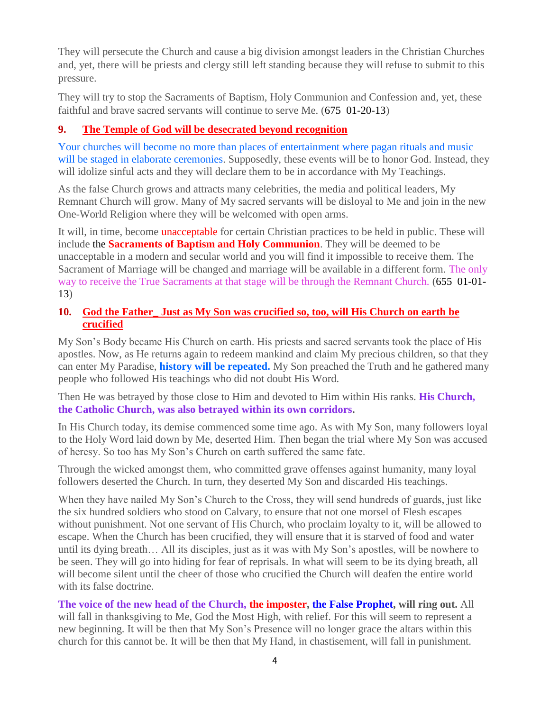They will persecute the Church and cause a big division amongst leaders in the Christian Churches and, yet, there will be priests and clergy still left standing because they will refuse to submit to this pressure.

They will try to stop the Sacraments of Baptism, Holy Communion and Confession and, yet, these faithful and brave sacred servants will continue to serve Me. (675 01-20-13)

# **9. [The Temple of God will be desecrated beyond recognition](http://www.thewarningsecondcoming.com/the-temple-of-god-will-be-desecrated-beyond-recognition/)**

Your churches will become no more than places of entertainment where pagan rituals and music will be staged in elaborate ceremonies. Supposedly, these events will be to honor God. Instead, they will idolize sinful acts and they will declare them to be in accordance with My Teachings.

As the false Church grows and attracts many celebrities, the media and political leaders, My Remnant Church will grow. Many of My sacred servants will be disloyal to Me and join in the new One-World Religion where they will be welcomed with open arms.

It will, in time, become **unacceptable** for certain Christian practices to be held in public. These will include the **Sacraments of Baptism and Holy Communion**. They will be deemed to be unacceptable in a modern and secular world and you will find it impossible to receive them. The Sacrament of Marriage will be changed and marriage will be available in a different form. The only way to receive the True Sacraments at that stage will be through the Remnant Church. (655 01-01- 13)

# **10. [God the Father\\_ Just as My Son was crucified so, too, will His Church on earth be](http://www.thewarningsecondcoming.com/god-the-father-just-as-my-son-was-crucified-so-too-will-his-church-on-earth-be-crucified/)  [crucified](http://www.thewarningsecondcoming.com/god-the-father-just-as-my-son-was-crucified-so-too-will-his-church-on-earth-be-crucified/)**

My Son's Body became His Church on earth. His priests and sacred servants took the place of His apostles. Now, as He returns again to redeem mankind and claim My precious children, so that they can enter My Paradise, **history will be repeated.** My Son preached the Truth and he gathered many people who followed His teachings who did not doubt His Word.

Then He was betrayed by those close to Him and devoted to Him within His ranks. **His Church, the Catholic Church, was also betrayed within its own corridors.**

In His Church today, its demise commenced some time ago. As with My Son, many followers loyal to the Holy Word laid down by Me, deserted Him. Then began the trial where My Son was accused of heresy. So too has My Son's Church on earth suffered the same fate.

Through the wicked amongst them, who committed grave offenses against humanity, many loyal followers deserted the Church. In turn, they deserted My Son and discarded His teachings.

When they have nailed My Son's Church to the Cross, they will send hundreds of guards, just like the six hundred soldiers who stood on Calvary, to ensure that not one morsel of Flesh escapes without punishment. Not one servant of His Church, who proclaim loyalty to it, will be allowed to escape. When the Church has been crucified, they will ensure that it is starved of food and water until its dying breath… All its disciples, just as it was with My Son's apostles, will be nowhere to be seen. They will go into hiding for fear of reprisals. In what will seem to be its dying breath, all will become silent until the cheer of those who crucified the Church will deafen the entire world with its false doctrine.

**The voice of the new head of the Church, the imposter, the False Prophet, will ring out.** All will fall in thanksgiving to Me, God the Most High, with relief. For this will seem to represent a new beginning. It will be then that My Son's Presence will no longer grace the altars within this church for this cannot be. It will be then that My Hand, in chastisement, will fall in punishment.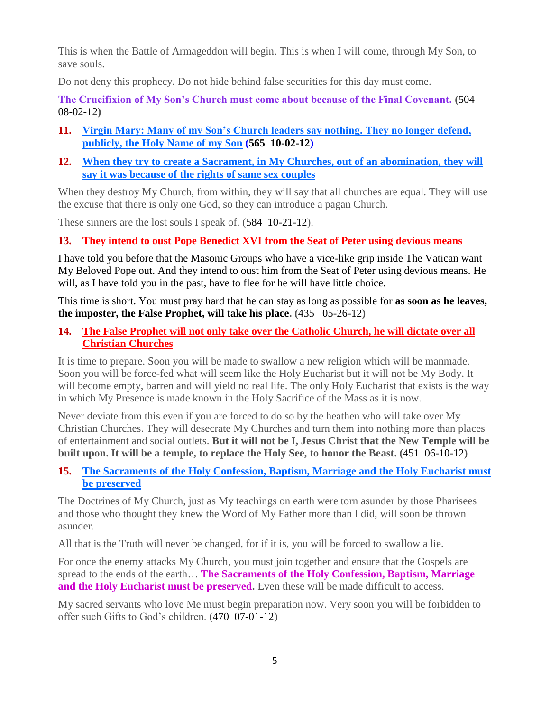This is when the Battle of Armageddon will begin. This is when I will come, through My Son, to save souls.

Do not deny this prophecy. Do not hide behind false securities for this day must come.

**The Crucifixion of My Son's Church must come about because of the Final Covenant. (**504 08-02-12**)**

- **11. [Virgin Mary: Many of my Son's Church leaders say nothing. They no longer defend,](http://www.thewarningsecondcoming.com/virgin-mary-many-of-my-sons-church-leaders-say-nothing-they-no-longer-defend-publicly-the-holy-name-of-my-son/)  [publicly, the Holy Name of my Son](http://www.thewarningsecondcoming.com/virgin-mary-many-of-my-sons-church-leaders-say-nothing-they-no-longer-defend-publicly-the-holy-name-of-my-son/) (565 10-02-12)**
- **12. [When they try to create a Sacrament, in My Churches, out of an abomination, they will](http://www.thewarningsecondcoming.com/when-they-try-to-create-a-sacrament-in-my-churches-out-of-an-abomination-they-will-say-it-was-because-of-the-rights-of-same-sex-couples/)  [say it was because of the rights of same sex couples](http://www.thewarningsecondcoming.com/when-they-try-to-create-a-sacrament-in-my-churches-out-of-an-abomination-they-will-say-it-was-because-of-the-rights-of-same-sex-couples/)**

When they destroy My Church, from within, they will say that all churches are equal. They will use the excuse that there is only one God, so they can introduce a pagan Church.

These sinners are the lost souls I speak of. (584 10-21-12).

# **13. [They intend to oust Pope Benedict XVI from the Seat of Peter using devious means](http://www.thewarningsecondcoming.com/they-intend-to-oust-pope-benedict-xiv-from-the-seat-of-peter-using-devious-means/)**

I have told you before that the Masonic Groups who have a vice-like grip inside The Vatican want My Beloved Pope out. And they intend to oust him from the Seat of Peter using devious means. He will, as I have told you in the past, have to flee for he will have little choice.

This time is short. You must pray hard that he can stay as long as possible for **as soon as he leaves, the imposter, the False Prophet, will take his place. (**435 05-26-12**)**

**14. [The False Prophet will not only take over the Catholic Church, he will dictate](http://www.thewarningsecondcoming.com/the-false-prophet-will-not-only-take-over-the-catholic-church-he-will-dictate-over-all-christian-churches/) over all [Christian Churches](http://www.thewarningsecondcoming.com/the-false-prophet-will-not-only-take-over-the-catholic-church-he-will-dictate-over-all-christian-churches/)** 

It is time to prepare. Soon you will be made to swallow a new religion which will be manmade. Soon you will be force-fed what will seem like the Holy Eucharist but it will not be My Body. It will become empty, barren and will yield no real life. The only Holy Eucharist that exists is the way in which My Presence is made known in the Holy Sacrifice of the Mass as it is now.

Never deviate from this even if you are forced to do so by the heathen who will take over My Christian Churches. They will desecrate My Churches and turn them into nothing more than places of entertainment and social outlets. **But it will not be I, Jesus Christ that the New Temple will be built upon. It will be a temple, to replace the Holy See, to honor the Beast. (**451 06-10-12**)**

# **15. [The Sacraments of the Holy Confession, Baptism, Marriage and the Holy Eucharist must](http://www.thewarningsecondcoming.com/the-sacraments-of-the-holy-confession-baptism-marriage-and-the-holy-eucharist-must-be-preserved/)  [be preserved](http://www.thewarningsecondcoming.com/the-sacraments-of-the-holy-confession-baptism-marriage-and-the-holy-eucharist-must-be-preserved/)**

The Doctrines of My Church, just as My teachings on earth were torn asunder by those Pharisees and those who thought they knew the Word of My Father more than I did, will soon be thrown asunder.

All that is the Truth will never be changed, for if it is, you will be forced to swallow a lie.

For once the enemy attacks My Church, you must join together and ensure that the Gospels are spread to the ends of the earth… **The Sacraments of the Holy Confession, Baptism, Marriage and the Holy Eucharist must be preserved.** Even these will be made difficult to access.

My sacred servants who love Me must begin preparation now. Very soon you will be forbidden to offer such Gifts to God's children. (470 07-01-12)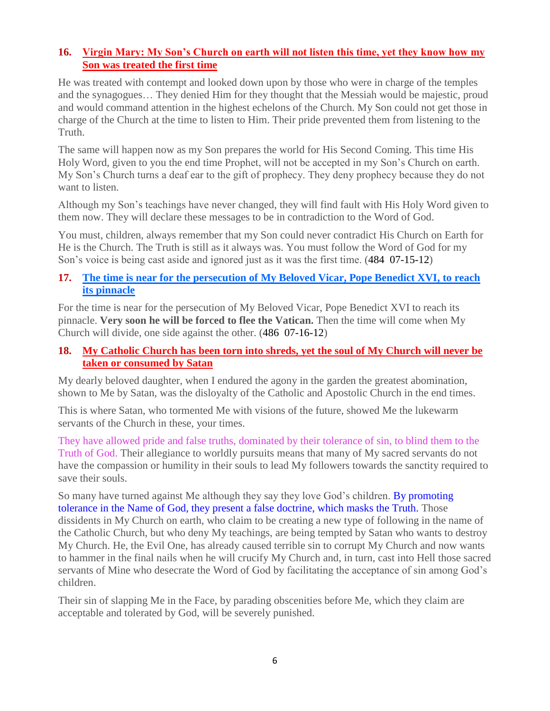# **16. [Virgin Mary: My Son's Church on earth will not listen this time, yet they know how my](http://www.thewarningsecondcoming.com/my-sons-church-on-earth-will-not-listen-this-time-yet-they-know-how-my-son-was-treated-the-first-time/)  [Son was treated the first time](http://www.thewarningsecondcoming.com/my-sons-church-on-earth-will-not-listen-this-time-yet-they-know-how-my-son-was-treated-the-first-time/)**

He was treated with contempt and looked down upon by those who were in charge of the temples and the synagogues… They denied Him for they thought that the Messiah would be majestic, proud and would command attention in the highest echelons of the Church. My Son could not get those in charge of the Church at the time to listen to Him. Their pride prevented them from listening to the Truth.

The same will happen now as my Son prepares the world for His Second Coming. This time His Holy Word, given to you the end time Prophet, will not be accepted in my Son's Church on earth. My Son's Church turns a deaf ear to the gift of prophecy. They deny prophecy because they do not want to listen.

Although my Son's teachings have never changed, they will find fault with His Holy Word given to them now. They will declare these messages to be in contradiction to the Word of God.

You must, children, always remember that my Son could never contradict His Church on Earth for He is the Church. The Truth is still as it always was. You must follow the Word of God for my Son's voice is being cast aside and ignored just as it was the first time. (484 07-15-12)

#### **17. [The time is near for the persecution of My Beloved Vicar, Pope Benedict XVI,](http://www.thewarningsecondcoming.com/the-time-is-near-for-the-persecution-of-my-beloved-vicar-pope-benedict-xvi-to-reach-its-pinnacle/) to reach [its pinnacle](http://www.thewarningsecondcoming.com/the-time-is-near-for-the-persecution-of-my-beloved-vicar-pope-benedict-xvi-to-reach-its-pinnacle/)**

For the time is near for the persecution of My Beloved Vicar, Pope Benedict XVI to reach its pinnacle. **Very soon he will be forced to flee the Vatican.** Then the time will come when My Church will divide, one side against the other. (486 07-16-12)

# **18. [My Catholic Church has been torn into shreds, yet the soul of My Church will never be](http://www.thewarningsecondcoming.com/my-catholic-church-has-been-torn-into-shreds-yet-the-soul-of-my-church-will-never-be-taken-or-consumed-by-satan-2/)  [taken or consumed by Satan](http://www.thewarningsecondcoming.com/my-catholic-church-has-been-torn-into-shreds-yet-the-soul-of-my-church-will-never-be-taken-or-consumed-by-satan-2/)**

My dearly beloved daughter, when I endured the agony in the garden the greatest abomination, shown to Me by Satan, was the disloyalty of the Catholic and Apostolic Church in the end times.

This is where Satan, who tormented Me with visions of the future, showed Me the lukewarm servants of the Church in these, your times.

They have allowed pride and false truths, dominated by their tolerance of sin, to blind them to the Truth of God. Their allegiance to worldly pursuits means that many of My sacred servants do not have the compassion or humility in their souls to lead My followers towards the sanctity required to save their souls.

So many have turned against Me although they say they love God's children. By promoting tolerance in the Name of God, they present a false doctrine, which masks the Truth. Those dissidents in My Church on earth, who claim to be creating a new type of following in the name of the Catholic Church, but who deny My teachings, are being tempted by Satan who wants to destroy My Church. He, the Evil One, has already caused terrible sin to corrupt My Church and now wants to hammer in the final nails when he will crucify My Church and, in turn, cast into Hell those sacred servants of Mine who desecrate the Word of God by facilitating the acceptance of sin among God's children.

Their sin of slapping Me in the Face, by parading obscenities before Me, which they claim are acceptable and tolerated by God, will be severely punished.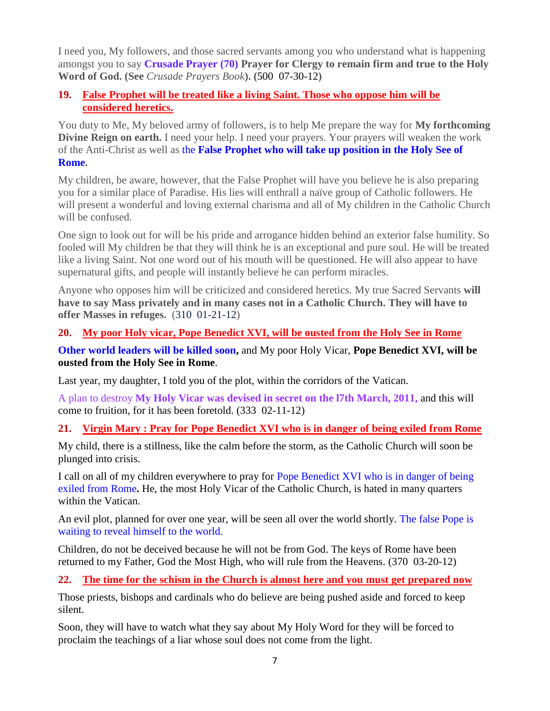I need you, My followers, and those sacred servants among you who understand what is happening amongst you to say **Crusade Prayer (70) Prayer for Clergy to remain firm and true to the Holy Word of God. (See** *Crusade Prayers Book***). (**500 07-30-12**)**

# **19. [False Prophet will be treated like a living Saint. Those who oppose him will be](http://www.thewarningsecondcoming.com/false-prophet-will-be-treated-like-a-living-saint-those-who-oppose-him-will-be-considered-a-heretic/)  [considered heretics.](http://www.thewarningsecondcoming.com/false-prophet-will-be-treated-like-a-living-saint-those-who-oppose-him-will-be-considered-a-heretic/)**

You duty to Me, My beloved army of followers, is to help Me prepare the way for **My forthcoming Divine Reign on earth.** I need your help. I need your prayers. Your prayers will weaken the work of the Anti-Christ as well as the **False Prophet who will take up position in the Holy See of Rome.**

My children, be aware, however, that the False Prophet will have you believe he is also preparing you for a similar place of Paradise. His lies will enthrall a naïve group of Catholic followers. He will present a wonderful and loving external charisma and all of My children in the Catholic Church will be confused.

One sign to look out for will be his pride and arrogance hidden behind an exterior false humility. So fooled will My children be that they will think he is an exceptional and pure soul. He will be treated like a living Saint. Not one word out of his mouth will be questioned. He will also appear to have supernatural gifts, and people will instantly believe he can perform miracles.

Anyone who opposes him will be criticized and considered heretics. My true Sacred Servants **will have to say Mass privately and in many cases not in a Catholic Church. They will have to offer Masses in refuges.** (310 01-21-12)

# **20. [My poor Holy vicar, Pope Benedict XVI, will be ousted from the Holy See in Rome](http://www.thewarningsecondcoming.com/my-poor-holy-vicar-pope-benedict-xvi-will-be-ousted-from-the-holy-see-in-rome/)**

**Other world leaders will be killed soon,** and My poor Holy Vicar, **Pope Benedict XVI, will be ousted from the Holy See in Rome**.

Last year, my daughter, I told you of the plot, within the corridors of the Vatican.

A plan to destroy **My Holy Vicar was devised in secret on the l7th March, 2011,** and this will come to fruition, for it has been foretold. (333 02-11-12)

# **21. Virgin Mary : [Pray for Pope Benedict XVI who is in danger of being exiled from Rome](http://www.thewarningsecondcoming.com/virgin-mary-pray-for-pope-benedict-xvi-who-is-in-danger-of-being-exiled-from-rome/)**

My child, there is a stillness, like the calm before the storm, as the Catholic Church will soon be plunged into crisis.

I call on all of my children everywhere to pray for Pope Benedict XVI who is in danger of being exiled from Rome**.** He, the most Holy Vicar of the Catholic Church, is hated in many quarters within the Vatican.

An evil plot, planned for over one year, will be seen all over the world shortly. The false Pope is waiting to reveal himself to the world.

Children, do not be deceived because he will not be from God. The keys of Rome have been returned to my Father, God the Most High, who will rule from the Heavens. (370 03-20-12)

# **22. [The time for the schism in the Church is almost here and you](http://www.thewarningsecondcoming.com/the-time-for-the-schism-in-the-church-is-almost-here-and-you-must-get-prepared-now/) must get prepared now**

Those priests, bishops and cardinals who do believe are being pushed aside and forced to keep silent.

Soon, they will have to watch what they say about My Holy Word for they will be forced to proclaim the teachings of a liar whose soul does not come from the light.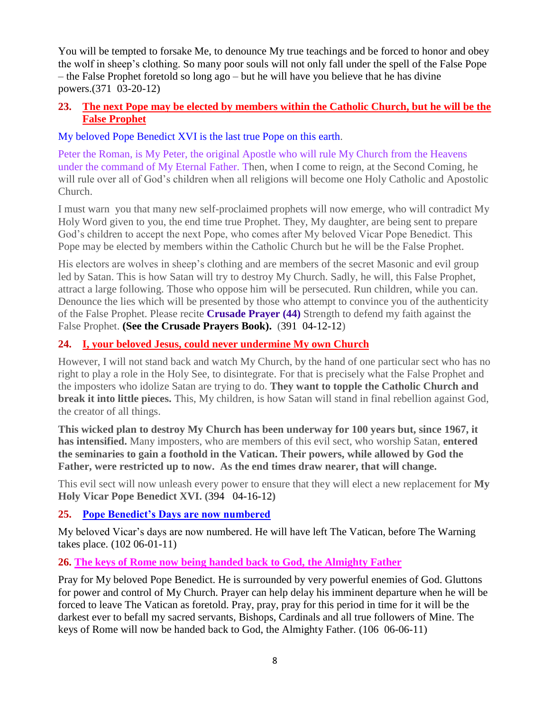You will be tempted to forsake Me, to denounce My true teachings and be forced to honor and obey the wolf in sheep's clothing. So many poor souls will not only fall under the spell of the False Pope – the False Prophet foretold so long ago – but he will have you believe that he has divine powers.(371 03-20-12)

# **23. [The next Pope may be elected by members within the Catholic Church, but he will be the](http://www.thewarningsecondcoming.com/the-next-pope-may-be-elected-by-members-within-the-catholic-church-but-he-will-be-the-false-prophet/)  [False Prophet](http://www.thewarningsecondcoming.com/the-next-pope-may-be-elected-by-members-within-the-catholic-church-but-he-will-be-the-false-prophet/)**

My beloved Pope Benedict XVI is the last true Pope on this earth.

Peter the Roman, is My Peter, the original Apostle who will rule My Church from the Heavens under the command of My Eternal Father. Then, when I come to reign, at the Second Coming, he will rule over all of God's children when all religions will become one Holy Catholic and Apostolic Church.

I must warn you that many new self-proclaimed prophets will now emerge, who will contradict My Holy Word given to you, the end time true Prophet. They, My daughter, are being sent to prepare God's children to accept the next Pope, who comes after My beloved Vicar Pope Benedict. This Pope may be elected by members within the Catholic Church but he will be the False Prophet.

His electors are wolves in sheep's clothing and are members of the secret Masonic and evil group led by Satan. This is how Satan will try to destroy My Church. Sadly, he will, this False Prophet, attract a large following. Those who oppose him will be persecuted. Run children, while you can. Denounce the lies which will be presented by those who attempt to convince you of the authenticity of the False Prophet. Please recite **Crusade Prayer (44)** Strength to defend my faith against the False Prophet. **(See the Crusade Prayers Book).** (391 04-12-12)

# **24. [I, your beloved Jesus, could never undermine My own Church](http://www.thewarningsecondcoming.com/i-your-beloved-jesus-could-never-undermine-my-own-church/)**

However, I will not stand back and watch My Church, by the hand of one particular sect who has no right to play a role in the Holy See, to disintegrate. For that is precisely what the False Prophet and the imposters who idolize Satan are trying to do. **They want to topple the Catholic Church and break it into little pieces.** This, My children, is how Satan will stand in final rebellion against God, the creator of all things.

**This wicked plan to destroy My Church has been underway for 100 years but, since 1967, it has intensified.** Many imposters, who are members of this evil sect, who worship Satan, **entered the seminaries to gain a foothold in the Vatican. Their powers, while allowed by God the Father, were restricted up to now. As the end times draw nearer, that will change.**

This evil sect will now unleash every power to ensure that they will elect a new replacement for **My Holy Vicar Pope Benedict XVI. (**394 04-16-12**)**

# **25. [Pope Benedict's Days are now numbered](http://www.thewarningsecondcoming.com/pope-benedicts-day-are-now-numbered/)**

My beloved Vicar's days are now numbered. He will have left The Vatican, before The Warning takes place. (102 06-01-11)

**26. [The keys of Rome now being handed back to God,](http://www.thewarningsecondcoming.com/the-keys-of-rome-now-being-handed-back-to-god-the-almighty-father/) the Almighty Father**

Pray for My beloved Pope Benedict. He is surrounded by very powerful enemies of God. Gluttons for power and control of My Church. Prayer can help delay his imminent departure when he will be forced to leave The Vatican as foretold. Pray, pray, pray for this period in time for it will be the darkest ever to befall my sacred servants, Bishops, Cardinals and all true followers of Mine. The keys of Rome will now be handed back to God, the Almighty Father. (106 06-06-11)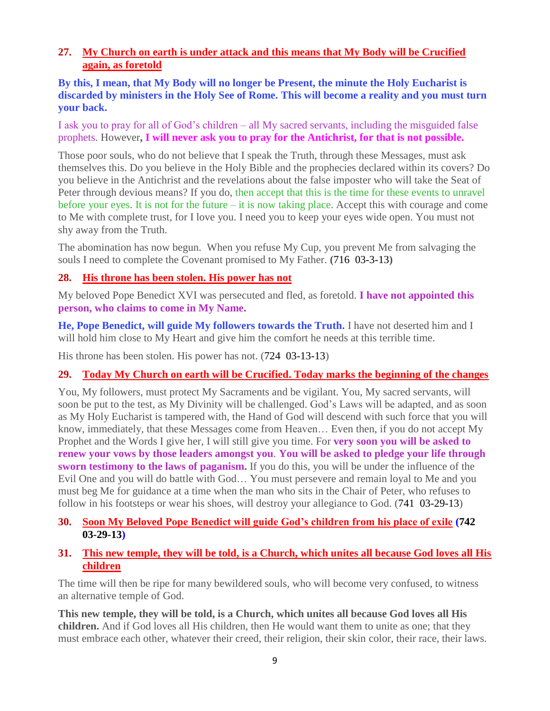# **27. [My Church on earth is under attack and this means that My Body will be Crucified](http://www.thewarningsecondcoming.com/my-church-on-earth-is-under-attack-and-this-means-that-my-body-will-be-crucified-again-as-foretold/)  [again, as foretold](http://www.thewarningsecondcoming.com/my-church-on-earth-is-under-attack-and-this-means-that-my-body-will-be-crucified-again-as-foretold/)**

#### **By this, I mean, that My Body will no longer be Present, the minute the Holy Eucharist is discarded by ministers in the Holy See of Rome. This will become a reality and you must turn your back.**

I ask you to pray for all of God's children – all My sacred servants, including the misguided false prophets. However**, I will never ask you to pray for the Antichrist, for that is not possible.**

Those poor souls, who do not believe that I speak the Truth, through these Messages, must ask themselves this. Do you believe in the Holy Bible and the prophecies declared within its covers? Do you believe in the Antichrist and the revelations about the false imposter who will take the Seat of Peter through devious means? If you do, then accept that this is the time for these events to unravel before your eyes. It is not for the future – it is now taking place. Accept this with courage and come to Me with complete trust, for I love you. I need you to keep your eyes wide open. You must not shy away from the Truth.

The abomination has now begun. When you refuse My Cup, you prevent Me from salvaging the souls I need to complete the Covenant promised to My Father. **(**716 03-3-13**)**

# **28. [His throne has been stolen. His power has not](http://www.thewarningsecondcoming.com/his-throne-has-been-stolen-his-power-has-not/)**

My beloved Pope Benedict XVI was persecuted and fled, as foretold. **I have not appointed this person, who claims to come in My Name.**

**He, Pope Benedict, will guide My followers towards the Truth.** I have not deserted him and I will hold him close to My Heart and give him the comfort he needs at this terrible time.

His throne has been stolen. His power has not. (724 03-13-13)

# **29. [Today My Church on earth will be Crucified. Today marks the beginning of the changes](http://www.thewarningsecondcoming.com/today-my-church-on-earth-will-be-crucified-today-marks-the-beginning-of-the-changes/)**

You, My followers, must protect My Sacraments and be vigilant. You, My sacred servants, will soon be put to the test, as My Divinity will be challenged. God's Laws will be adapted, and as soon as My Holy Eucharist is tampered with, the Hand of God will descend with such force that you will know, immediately, that these Messages come from Heaven… Even then, if you do not accept My Prophet and the Words I give her, I will still give you time. For **very soon you will be asked to renew your vows by those leaders amongst you**. **You will be asked to pledge your life through sworn testimony to the laws of paganism.** If you do this, you will be under the influence of the Evil One and you will do battle with God… You must persevere and remain loyal to Me and you must beg Me for guidance at a time when the man who sits in the Chair of Peter, who refuses to follow in his footsteps or wear his shoes, will destroy your allegiance to God. (741 03-29-13)

# **30. [Soon My Beloved Pope Benedict will guide God's children from his place of exile](http://www.thewarningsecondcoming.com/soon-my-beloved-pope-benedict-will-guide-gods-children-from-his-place-of-exile/) (742 03-29-13)**

#### **31. [This new temple, they will be told, is a Church, which unites all because God loves all His](http://www.thewarningsecondcoming.com/this-new-temple-they-will-be-told-is-a-church-which-unites-all-because-god-loves-all-his-children/)  [children](http://www.thewarningsecondcoming.com/this-new-temple-they-will-be-told-is-a-church-which-unites-all-because-god-loves-all-his-children/)**

The time will then be ripe for many bewildered souls, who will become very confused, to witness an alternative temple of God.

**This new temple, they will be told, is a Church, which unites all because God loves all His children.** And if God loves all His children, then He would want them to unite as one; that they must embrace each other, whatever their creed, their religion, their skin color, their race, their laws.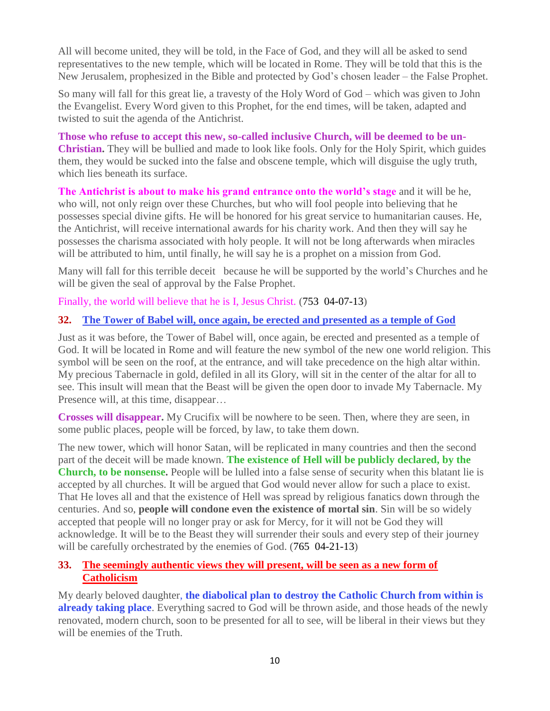All will become united, they will be told, in the Face of God, and they will all be asked to send representatives to the new temple, which will be located in Rome. They will be told that this is the New Jerusalem, prophesized in the Bible and protected by God's chosen leader – the False Prophet.

So many will fall for this great lie, a travesty of the Holy Word of God – which was given to John the Evangelist. Every Word given to this Prophet, for the end times, will be taken, adapted and twisted to suit the agenda of the Antichrist.

**Those who refuse to accept this new, so-called inclusive Church, will be deemed to be un-Christian.** They will be bullied and made to look like fools. Only for the Holy Spirit, which guides them, they would be sucked into the false and obscene temple, which will disguise the ugly truth, which lies beneath its surface.

**The Antichrist is about to make his grand entrance onto the world's stage** and it will be he, who will, not only reign over these Churches, but who will fool people into believing that he possesses special divine gifts. He will be honored for his great service to humanitarian causes. He, the Antichrist, will receive international awards for his charity work. And then they will say he possesses the charisma associated with holy people. It will not be long afterwards when miracles will be attributed to him, until finally, he will say he is a prophet on a mission from God.

Many will fall for this terrible deceit because he will be supported by the world's Churches and he will be given the seal of approval by the False Prophet.

Finally, the world will believe that he is I, Jesus Christ. (753 04-07-13)

# **32. [The Tower of Babel will, once again, be erected and presented as a temple of God](http://www.thewarningsecondcoming.com/the-tower-of-babel-will-once-again-be-erected-and-presented-as-a-temple-of-god/)**

Just as it was before, the Tower of Babel will, once again, be erected and presented as a temple of God. It will be located in Rome and will feature the new symbol of the new one world religion. This symbol will be seen on the roof, at the entrance, and will take precedence on the high altar within. My precious Tabernacle in gold, defiled in all its Glory, will sit in the center of the altar for all to see. This insult will mean that the Beast will be given the open door to invade My Tabernacle. My Presence will, at this time, disappear...

**Crosses will disappear.** My Crucifix will be nowhere to be seen. Then, where they are seen, in some public places, people will be forced, by law, to take them down.

The new tower, which will honor Satan, will be replicated in many countries and then the second part of the deceit will be made known. **The existence of Hell will be publicly declared, by the Church, to be nonsense.** People will be lulled into a false sense of security when this blatant lie is accepted by all churches. It will be argued that God would never allow for such a place to exist. That He loves all and that the existence of Hell was spread by religious fanatics down through the centuries. And so, **people will condone even the existence of mortal sin**. Sin will be so widely accepted that people will no longer pray or ask for Mercy, for it will not be God they will acknowledge. It will be to the Beast they will surrender their souls and every step of their journey will be carefully orchestrated by the enemies of God. (765 04-21-13)

# **33. [The seemingly authentic views they will present, will be seen as a new form of](http://www.thewarningsecondcoming.com/the-seemingly-authentic-views-they-will-present-will-be-seen-as-a-new-form-of-catholicism/)  [Catholicism](http://www.thewarningsecondcoming.com/the-seemingly-authentic-views-they-will-present-will-be-seen-as-a-new-form-of-catholicism/)**

My dearly beloved daughter, **the diabolical plan to destroy the Catholic Church from within is already taking place**. Everything sacred to God will be thrown aside, and those heads of the newly renovated, modern church, soon to be presented for all to see, will be liberal in their views but they will be enemies of the Truth.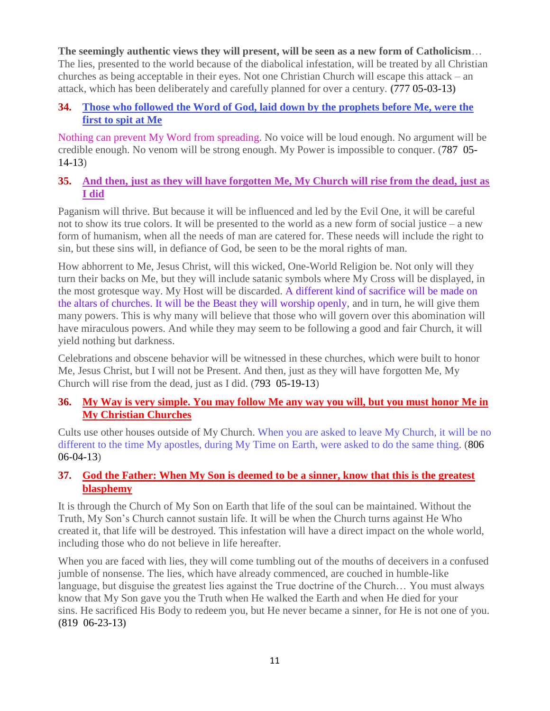**The seemingly authentic views they will present, will be seen as a new form of Catholicism**… The lies, presented to the world because of the diabolical infestation, will be treated by all Christian churches as being acceptable in their eyes. Not one Christian Church will escape this attack – an attack, which has been deliberately and carefully planned for over a century. **(**777 05-03-13**)**

# **34. [Those who followed the Word of God, laid down by the prophets before Me, were the](http://www.thewarningsecondcoming.com/those-who-followed-the-word-of-god-laid-down-by-the-prophets-before-me-were-the-first-to-spit-at-me/)  [first to spit at Me](http://www.thewarningsecondcoming.com/those-who-followed-the-word-of-god-laid-down-by-the-prophets-before-me-were-the-first-to-spit-at-me/)**

Nothing can prevent My Word from spreading. No voice will be loud enough. No argument will be credible enough. No venom will be strong enough. My Power is impossible to conquer. (787 05- 14-13)

# **35. [And then, just as they will have forgotten Me, My Church will rise from the dead, just as](http://www.thewarningsecondcoming.com/and-then-just-as-they-will-have-forgotten-me-my-church-will-rise-from-the-dead-just-as-i-did/)  [I did](http://www.thewarningsecondcoming.com/and-then-just-as-they-will-have-forgotten-me-my-church-will-rise-from-the-dead-just-as-i-did/)**

Paganism will thrive. But because it will be influenced and led by the Evil One, it will be careful not to show its true colors. It will be presented to the world as a new form of social justice – a new form of humanism, when all the needs of man are catered for. These needs will include the right to sin, but these sins will, in defiance of God, be seen to be the moral rights of man.

How abhorrent to Me, Jesus Christ, will this wicked, One-World Religion be. Not only will they turn their backs on Me, but they will include satanic symbols where My Cross will be displayed, in the most grotesque way. My Host will be discarded. A different kind of sacrifice will be made on the altars of churches. It will be the Beast they will worship openly, and in turn, he will give them many powers. This is why many will believe that those who will govern over this abomination will have miraculous powers. And while they may seem to be following a good and fair Church, it will yield nothing but darkness.

Celebrations and obscene behavior will be witnessed in these churches, which were built to honor Me, Jesus Christ, but I will not be Present. And then, just as they will have forgotten Me, My Church will rise from the dead, just as I did. (793 05-19-13)

# **36. [My Way is very simple. You may follow Me any way you will, but you must honor Me in](http://www.thewarningsecondcoming.com/my-way-is-very-simple-you-may-follow-me-any-way-you-will-but-you-must-honour-me-in-my-christian-churches/)  [My Christian Churches](http://www.thewarningsecondcoming.com/my-way-is-very-simple-you-may-follow-me-any-way-you-will-but-you-must-honour-me-in-my-christian-churches/)**

Cults use other houses outside of My Church. When you are asked to leave My Church, it will be no different to the time My apostles, during My Time on Earth, were asked to do the same thing. (806 06-04-13)

# **37. [God the Father: When My Son is deemed to be a sinner, know that this is the greatest](http://www.thewarningsecondcoming.com/god-the-father-when-my-son-is-deemed-to-be-a-sinner-know-that-this-is-the-greatest-blasphemy/)  [blasphemy](http://www.thewarningsecondcoming.com/god-the-father-when-my-son-is-deemed-to-be-a-sinner-know-that-this-is-the-greatest-blasphemy/)**

It is through the Church of My Son on Earth that life of the soul can be maintained. Without the Truth, My Son's Church cannot sustain life. It will be when the Church turns against He Who created it, that life will be destroyed. This infestation will have a direct impact on the whole world, including those who do not believe in life hereafter.

When you are faced with lies, they will come tumbling out of the mouths of deceivers in a confused jumble of nonsense. The lies, which have already commenced, are couched in humble-like language, but disguise the greatest lies against the True doctrine of the Church… You must always know that My Son gave you the Truth when He walked the Earth and when He died for your sins. He sacrificed His Body to redeem you, but He never became a sinner, for He is not one of you. **(**819 06-23-13**)**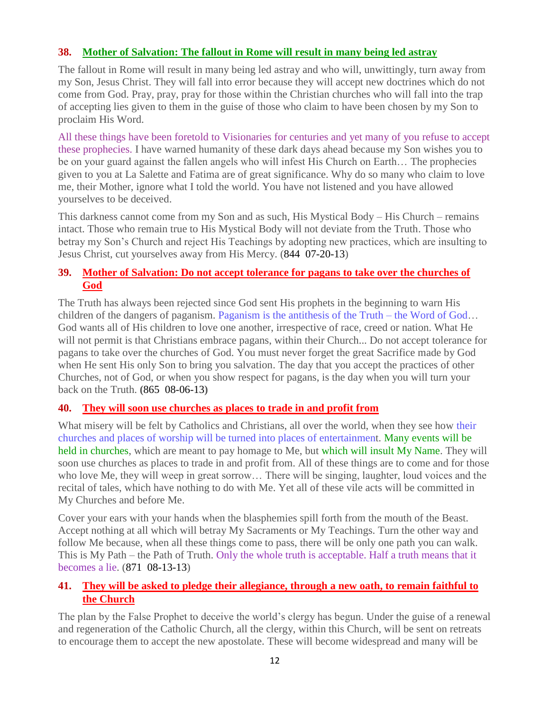# **38. [Mother of Salvation: The fallout in Rome will result in many being led astray](http://www.thewarningsecondcoming.com/mother-of-salvation-the-fallout-in-rome-will-result-in-many-being-led-astray/)**

The fallout in Rome will result in many being led astray and who will, unwittingly, turn away from my Son, Jesus Christ. They will fall into error because they will accept new doctrines which do not come from God. Pray, pray, pray for those within the Christian churches who will fall into the trap of accepting lies given to them in the guise of those who claim to have been chosen by my Son to proclaim His Word.

All these things have been foretold to Visionaries for centuries and yet many of you refuse to accept these prophecies. I have warned humanity of these dark days ahead because my Son wishes you to be on your guard against the fallen angels who will infest His Church on Earth… The prophecies given to you at La Salette and Fatima are of great significance. Why do so many who claim to love me, their Mother, ignore what I told the world. You have not listened and you have allowed yourselves to be deceived.

This darkness cannot come from my Son and as such, His Mystical Body – His Church – remains intact. Those who remain true to His Mystical Body will not deviate from the Truth. Those who betray my Son's Church and reject His Teachings by adopting new practices, which are insulting to Jesus Christ, cut yourselves away from His Mercy. (844 07-20-13)

# **39. [Mother of Salvation: Do not accept tolerance for pagans to take over the churches of](http://www.thewarningsecondcoming.com/mother-of-salvation-do-not-accept-tolerance-for-pagans-to-take-over-the-churches-of-god/)  [God](http://www.thewarningsecondcoming.com/mother-of-salvation-do-not-accept-tolerance-for-pagans-to-take-over-the-churches-of-god/)**

The Truth has always been rejected since God sent His prophets in the beginning to warn His children of the dangers of paganism. Paganism is the antithesis of the Truth – the Word of God… God wants all of His children to love one another, irrespective of race, creed or nation. What He will not permit is that Christians embrace pagans, within their Church... Do not accept tolerance for pagans to take over the churches of God. You must never forget the great Sacrifice made by God when He sent His only Son to bring you salvation. The day that you accept the practices of other Churches, not of God, or when you show respect for pagans, is the day when you will turn your back on the Truth. **(**865 08-06-13**)**

#### **40. [They will soon use churches as places to trade in and profit from](http://www.thewarningsecondcoming.com/they-will-soon-use-churches-as-places-to-trade-in-and-profit-from/)**

What misery will be felt by Catholics and Christians, all over the world, when they see how their churches and places of worship will be turned into places of entertainment. Many events will be held in churches, which are meant to pay homage to Me, but which will insult My Name. They will soon use churches as places to trade in and profit from. All of these things are to come and for those who love Me, they will weep in great sorrow… There will be singing, laughter, loud voices and the recital of tales, which have nothing to do with Me. Yet all of these vile acts will be committed in My Churches and before Me.

Cover your ears with your hands when the blasphemies spill forth from the mouth of the Beast. Accept nothing at all which will betray My Sacraments or My Teachings. Turn the other way and follow Me because, when all these things come to pass, there will be only one path you can walk. This is My Path – the Path of Truth. Only the whole truth is acceptable. Half a truth means that it becomes a lie. (871 08-13-13)

# **41. [They will be asked to pledge their allegiance, through a new oath, to remain faithful to](http://www.thewarningsecondcoming.com/they-will-be-asked-to-pledge-their-allegiance-through-a-new-oath-to-remain-faithful-to-the-church/)  [the Church](http://www.thewarningsecondcoming.com/they-will-be-asked-to-pledge-their-allegiance-through-a-new-oath-to-remain-faithful-to-the-church/)**

The plan by the False Prophet to deceive the world's clergy has begun. Under the guise of a renewal and regeneration of the Catholic Church, all the clergy, within this Church, will be sent on retreats to encourage them to accept the new apostolate. These will become widespread and many will be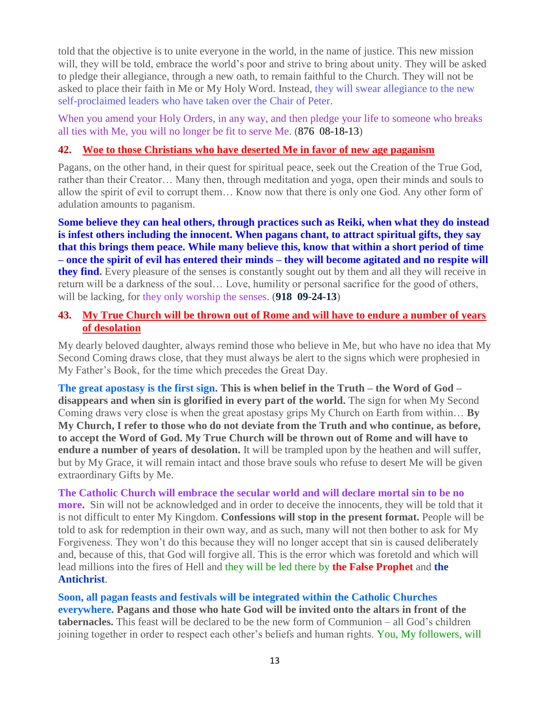told that the objective is to unite everyone in the world, in the name of justice. This new mission will, they will be told, embrace the world's poor and strive to bring about unity. They will be asked to pledge their allegiance, through a new oath, to remain faithful to the Church. They will not be asked to place their faith in Me or My Holy Word. Instead, they will swear allegiance to the new self-proclaimed leaders who have taken over the Chair of Peter.

When you amend your Holy Orders, in any way, and then pledge your life to someone who breaks all ties with Me, you will no longer be fit to serve Me. (876 08-18-13)

#### **42. [Woe to those Christians who have deserted Me in favor of new age paganism](http://www.thewarningsecondcoming.com/woe-to-those-christians-who-have-deserted-me-in-favour-of-new-age-paganism/)**

Pagans, on the other hand, in their quest for spiritual peace, seek out the Creation of the True God, rather than their Creator… Many then, through meditation and yoga, open their minds and souls to allow the spirit of evil to corrupt them… Know now that there is only one God. Any other form of adulation amounts to paganism.

**Some believe they can heal others, through practices such as Reiki, when what they do instead is infest others including the innocent. When pagans chant, to attract spiritual gifts, they say that this brings them peace. While many believe this, know that within a short period of time – once the spirit of evil has entered their minds – they will become agitated and no respite will they find.** Every pleasure of the senses is constantly sought out by them and all they will receive in return will be a darkness of the soul… Love, humility or personal sacrifice for the good of others, will be lacking, for they only worship the senses. (**918 09-24-13**)

#### **43. [My True Church will be thrown out of Rome and will have to endure a number of years](http://www.thewarningsecondcoming.com/my-true-church-will-be-thrown-out-of-rome-and-will-have-to-endure-a-number-of-years-of-desolation/)  [of desolation](http://www.thewarningsecondcoming.com/my-true-church-will-be-thrown-out-of-rome-and-will-have-to-endure-a-number-of-years-of-desolation/)**

My dearly beloved daughter, always remind those who believe in Me, but who have no idea that My Second Coming draws close, that they must always be alert to the signs which were prophesied in My Father's Book, for the time which precedes the Great Day.

**The great apostasy is the first sign. This is when belief in the Truth – the Word of God – disappears and when sin is glorified in every part of the world.** The sign for when My Second Coming draws very close is when the great apostasy grips My Church on Earth from within… **By My Church, I refer to those who do not deviate from the Truth and who continue, as before, to accept the Word of God. My True Church will be thrown out of Rome and will have to endure a number of years of desolation.** It will be trampled upon by the heathen and will suffer, but by My Grace, it will remain intact and those brave souls who refuse to desert Me will be given extraordinary Gifts by Me.

**The Catholic Church will embrace the secular world and will declare mortal sin to be no more.** Sin will not be acknowledged and in order to deceive the innocents, they will be told that it is not difficult to enter My Kingdom. **Confessions will stop in the present format.** People will be told to ask for redemption in their own way, and as such, many will not then bother to ask for My Forgiveness. They won't do this because they will no longer accept that sin is caused deliberately and, because of this, that God will forgive all. This is the error which was foretold and which will lead millions into the fires of Hell and they will be led there by **the False Prophet** and **the Antichrist**.

**Soon, all pagan feasts and festivals will be integrated within the Catholic Churches everywhere. Pagans and those who hate God will be invited onto the altars in front of the tabernacles.** This feast will be declared to be the new form of Communion – all God's children joining together in order to respect each other's beliefs and human rights. You, My followers, will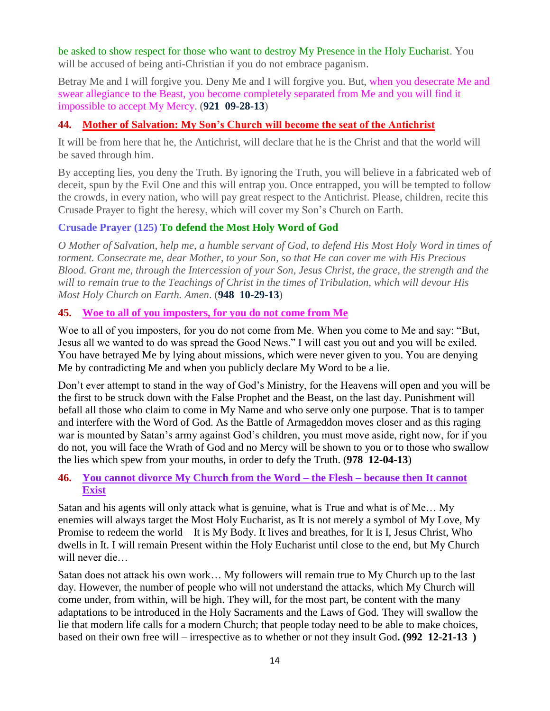be asked to show respect for those who want to destroy My Presence in the Holy Eucharist. You will be accused of being anti-Christian if you do not embrace paganism.

Betray Me and I will forgive you. Deny Me and I will forgive you. But, when you desecrate Me and swear allegiance to the Beast, you become completely separated from Me and you will find it impossible to accept My Mercy. (**921 09-28-13**)

# **44. [Mother of Salvation: My Son's Church will become the seat of the Antichrist](http://www.thewarningsecondcoming.com/mother-of-salvation-my-sons-church-will-become-the-seat-of-the-antichrist/)**

It will be from here that he, the Antichrist, will declare that he is the Christ and that the world will be saved through him.

By accepting lies, you deny the Truth. By ignoring the Truth, you will believe in a fabricated web of deceit, spun by the Evil One and this will entrap you. Once entrapped, you will be tempted to follow the crowds, in every nation, who will pay great respect to the Antichrist. Please, children, recite this Crusade Prayer to fight the heresy, which will cover my Son's Church on Earth.

# **Crusade Prayer (125) To defend the Most Holy Word of God**

*O Mother of Salvation, help me, a humble servant of God, to defend His Most Holy Word in times of torment. Consecrate me, dear Mother, to your Son, so that He can cover me with His Precious Blood. Grant me, through the Intercession of your Son, Jesus Christ, the grace, the strength and the will to remain true to the Teachings of Christ in the times of Tribulation, which will devour His Most Holy Church on Earth. Amen*. (**948 10-29-13**)

# **45. [Woe to all of you imposters, for you do not come from Me](http://www.thewarningsecondcoming.com/woe-to-all-of-you-imposters-for-you-do-not-come-from-me/)**

Woe to all of you imposters, for you do not come from Me. When you come to Me and say: "But, Jesus all we wanted to do was spread the Good News." I will cast you out and you will be exiled. You have betrayed Me by lying about missions, which were never given to you. You are denying Me by contradicting Me and when you publicly declare My Word to be a lie.

Don't ever attempt to stand in the way of God's Ministry, for the Heavens will open and you will be the first to be struck down with the False Prophet and the Beast, on the last day. Punishment will befall all those who claim to come in My Name and who serve only one purpose. That is to tamper and interfere with the Word of God. As the Battle of Armageddon moves closer and as this raging war is mounted by Satan's army against God's children, you must move aside, right now, for if you do not, you will face the Wrath of God and no Mercy will be shown to you or to those who swallow the lies which spew from your mouths, in order to defy the Truth. (**978 12-04-13**)

# **46. [You cannot divorce My Church from the Word –](http://www.thewarningsecondcoming.com/you-cannot-divorce-my-church-from-the-word-the-flesh-because-then-it-cannot-exist/) the Flesh – because then It cannot [Exist](http://www.thewarningsecondcoming.com/you-cannot-divorce-my-church-from-the-word-the-flesh-because-then-it-cannot-exist/)**

Satan and his agents will only attack what is genuine, what is True and what is of Me… My enemies will always target the Most Holy Eucharist, as It is not merely a symbol of My Love, My Promise to redeem the world – It is My Body. It lives and breathes, for It is I, Jesus Christ, Who dwells in It. I will remain Present within the Holy Eucharist until close to the end, but My Church will never die…

Satan does not attack his own work… My followers will remain true to My Church up to the last day. However, the number of people who will not understand the attacks, which My Church will come under, from within, will be high. They will, for the most part, be content with the many adaptations to be introduced in the Holy Sacraments and the Laws of God. They will swallow the lie that modern life calls for a modern Church; that people today need to be able to make choices, based on their own free will – irrespective as to whether or not they insult God**. (992 12-21-13 )**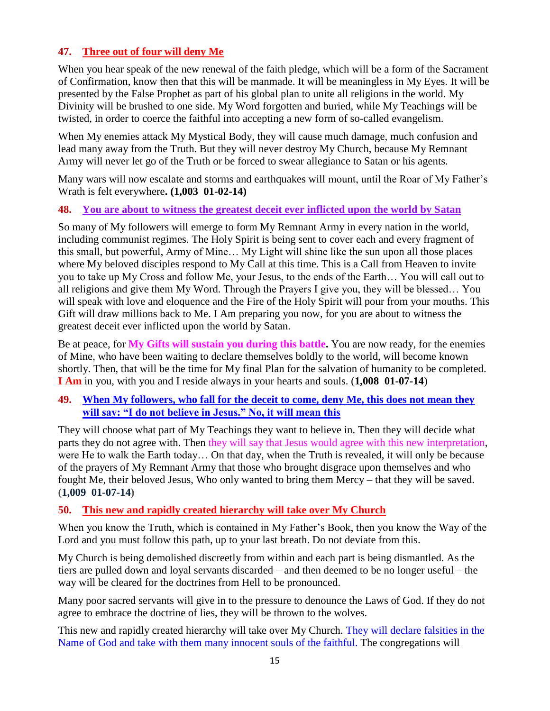# **47. [Three out of four will deny Me](http://www.thewarningsecondcoming.com/three-of-out-of-four-will-deny-me/)**

When you hear speak of the new renewal of the faith pledge, which will be a form of the Sacrament of Confirmation, know then that this will be manmade. It will be meaningless in My Eyes. It will be presented by the False Prophet as part of his global plan to unite all religions in the world. My Divinity will be brushed to one side. My Word forgotten and buried, while My Teachings will be twisted, in order to coerce the faithful into accepting a new form of so-called evangelism.

When My enemies attack My Mystical Body, they will cause much damage, much confusion and lead many away from the Truth. But they will never destroy My Church, because My Remnant Army will never let go of the Truth or be forced to swear allegiance to Satan or his agents.

Many wars will now escalate and storms and earthquakes will mount, until the Roar of My Father's Wrath is felt everywhere**. (1,003 01-02-14)**

#### **48. [You are about to witness the greatest deceit ever inflicted upon the world by Satan](http://www.thewarningsecondcoming.com/you-are-about-to-witness-the-greatest-deceit-ever-inflicted-upon-the-world-by-satan/)**

So many of My followers will emerge to form My Remnant Army in every nation in the world, including communist regimes. The Holy Spirit is being sent to cover each and every fragment of this small, but powerful, Army of Mine… My Light will shine like the sun upon all those places where My beloved disciples respond to My Call at this time. This is a Call from Heaven to invite you to take up My Cross and follow Me, your Jesus, to the ends of the Earth… You will call out to all religions and give them My Word. Through the Prayers I give you, they will be blessed… You will speak with love and eloquence and the Fire of the Holy Spirit will pour from your mouths. This Gift will draw millions back to Me. I Am preparing you now, for you are about to witness the greatest deceit ever inflicted upon the world by Satan.

Be at peace, for **My Gifts will sustain you during this battle.** You are now ready, for the enemies of Mine, who have been waiting to declare themselves boldly to the world, will become known shortly. Then, that will be the time for My final Plan for the salvation of humanity to be completed. **I Am** in you, with you and I reside always in your hearts and souls. (**1,008 01-07-14**)

# **49. [When My followers, who fall for the deceit to come, deny Me, this does not mean they](http://www.thewarningsecondcoming.com/when-my-followers-who-fall-for-the-deceit-to-come-deny-me-this-does-not-mean-they-will-say-i-do-not-believe-in-jesus-no-it-will-mean-this/)  [will say: "I do not believe in Jesus." No, it will mean this](http://www.thewarningsecondcoming.com/when-my-followers-who-fall-for-the-deceit-to-come-deny-me-this-does-not-mean-they-will-say-i-do-not-believe-in-jesus-no-it-will-mean-this/)**

They will choose what part of My Teachings they want to believe in. Then they will decide what parts they do not agree with. Then they will say that Jesus would agree with this new interpretation, were He to walk the Earth today… On that day, when the Truth is revealed, it will only be because of the prayers of My Remnant Army that those who brought disgrace upon themselves and who fought Me, their beloved Jesus, Who only wanted to bring them Mercy – that they will be saved. **(1,009 01-07-14)**

# **50. [This new and rapidly created hierarchy will take over My Church](http://www.thewarningsecondcoming.com/this-new-and-rapidly-created-hierarchy-will-take-over-my-church/)**

When you know the Truth, which is contained in My Father's Book, then you know the Way of the Lord and you must follow this path, up to your last breath. Do not deviate from this.

My Church is being demolished discreetly from within and each part is being dismantled. As the tiers are pulled down and loyal servants discarded – and then deemed to be no longer useful – the way will be cleared for the doctrines from Hell to be pronounced.

Many poor sacred servants will give in to the pressure to denounce the Laws of God. If they do not agree to embrace the doctrine of lies, they will be thrown to the wolves.

This new and rapidly created hierarchy will take over My Church. They will declare falsities in the Name of God and take with them many innocent souls of the faithful. The congregations will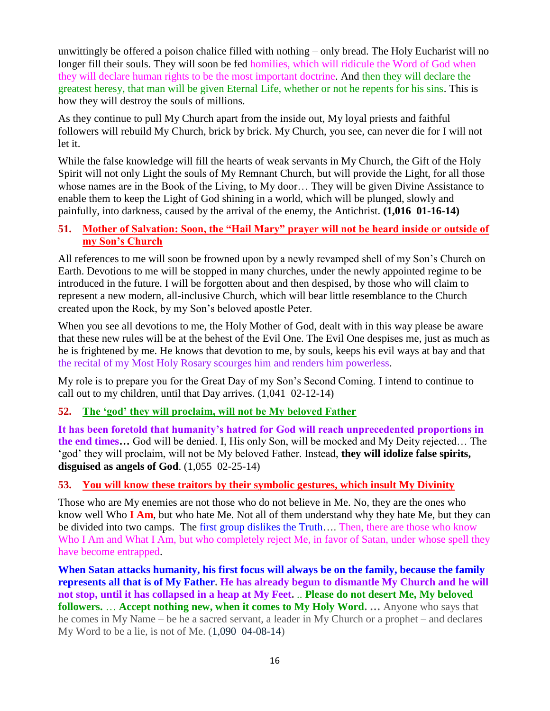unwittingly be offered a poison chalice filled with nothing – only bread. The Holy Eucharist will no longer fill their souls. They will soon be fed homilies, which will ridicule the Word of God when they will declare human rights to be the most important doctrine. And then they will declare the greatest heresy, that man will be given Eternal Life, whether or not he repents for his sins. This is how they will destroy the souls of millions.

As they continue to pull My Church apart from the inside out, My loyal priests and faithful followers will rebuild My Church, brick by brick. My Church, you see, can never die for I will not let it.

While the false knowledge will fill the hearts of weak servants in My Church, the Gift of the Holy Spirit will not only Light the souls of My Remnant Church, but will provide the Light, for all those whose names are in the Book of the Living, to My door… They will be given Divine Assistance to enable them to keep the Light of God shining in a world, which will be plunged, slowly and painfully, into darkness, caused by the arrival of the enemy, the Antichrist. **(1,016 01-16-14)**

# **51. [Mother of Salvation: Soon, the "Hail Mary" prayer will not be heard inside or outside of](http://www.thewarningsecondcoming.com/mother-of-salvation-soon-the-hail-mary-prayer-will-not-be-heard-inside-or-outside-of-my-sons-church/)  [my Son's Church](http://www.thewarningsecondcoming.com/mother-of-salvation-soon-the-hail-mary-prayer-will-not-be-heard-inside-or-outside-of-my-sons-church/)**

All references to me will soon be frowned upon by a newly revamped shell of my Son's Church on Earth. Devotions to me will be stopped in many churches, under the newly appointed regime to be introduced in the future. I will be forgotten about and then despised, by those who will claim to represent a new modern, all-inclusive Church, which will bear little resemblance to the Church created upon the Rock, by my Son's beloved apostle Peter.

When you see all devotions to me, the Holy Mother of God, dealt with in this way please be aware that these new rules will be at the behest of the Evil One. The Evil One despises me, just as much as he is frightened by me. He knows that devotion to me, by souls, keeps his evil ways at bay and that the recital of my Most Holy Rosary scourges him and renders him powerless.

My role is to prepare you for the Great Day of my Son's Second Coming. I intend to continue to call out to my children, until that Day arrives. (1,041 02-12-14)

# **52. [The 'god' they will proclaim, will not be My beloved Father](http://www.thewarningsecondcoming.com/the-god-they-will-proclaim-will-not-be-my-beloved-father/)**

**It has been foretold that humanity's hatred for God will reach unprecedented proportions in the end times…** God will be denied. I, His only Son, will be mocked and My Deity rejected… The 'god' they will proclaim, will not be My beloved Father. Instead, **they will idolize false spirits, disguised as angels of God**. (1,055 02-25-14)

# **53. [You will know these traitors by their symbolic gestures, which insult My Divinity](http://www.thewarningsecondcoming.com/you-will-know-these-traitors-by-their-symbolic-gestures-which-insult-my-divinity/)**

Those who are My enemies are not those who do not believe in Me. No, they are the ones who know well Who **I Am**, but who hate Me. Not all of them understand why they hate Me, but they can be divided into two camps. The first group dislikes the Truth…. Then, there are those who know Who I Am and What I Am, but who completely reject Me, in favor of Satan, under whose spell they have become entrapped.

**When Satan attacks humanity, his first focus will always be on the family, because the family represents all that is of My Father. He has already begun to dismantle My Church and he will not stop, until it has collapsed in a heap at My Feet.** .. **Please do not desert Me, My beloved followers.** … **Accept nothing new, when it comes to My Holy Word. …** Anyone who says that he comes in My Name – be he a sacred servant, a leader in My Church or a prophet – and declares My Word to be a lie, is not of Me. (1,090 04-08-14)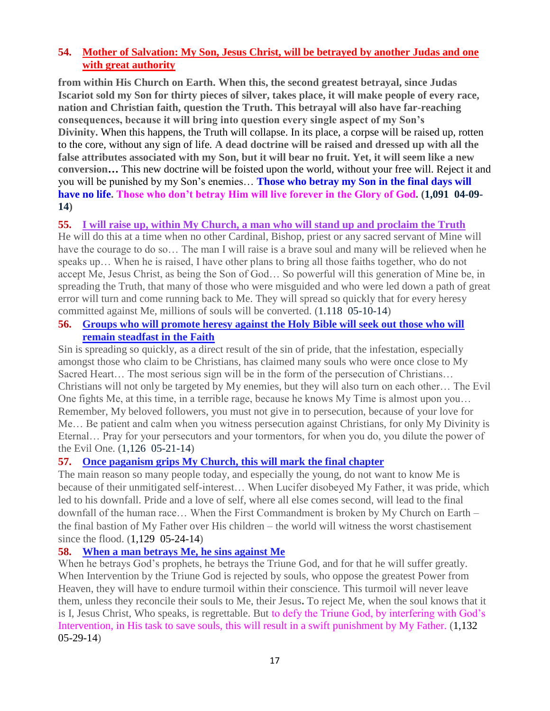# **54. [Mother of Salvation: My Son, Jesus Christ, will be betrayed by another Judas and one](http://www.thewarningsecondcoming.com/mother-of-salvation-my-son-jesus-christ-will-be-betrayed-by-another-judas-and-one-with-great-authority/)  [with great authority](http://www.thewarningsecondcoming.com/mother-of-salvation-my-son-jesus-christ-will-be-betrayed-by-another-judas-and-one-with-great-authority/)**

**from within His Church on Earth. When this, the second greatest betrayal, since Judas Iscariot sold my Son for thirty pieces of silver, takes place, it will make people of every race, nation and Christian faith, question the Truth. This betrayal will also have far-reaching consequences, because it will bring into question every single aspect of my Son's Divinity.** When this happens, the Truth will collapse. In its place, a corpse will be raised up, rotten to the core, without any sign of life. **A dead doctrine will be raised and dressed up with all the false attributes associated with my Son, but it will bear no fruit. Yet, it will seem like a new conversion…** This new doctrine will be foisted upon the world, without your free will. Reject it and you will be punished by my Son's enemies… **Those who betray my Son in the final days will have no life. Those who don't betray Him will live forever in the Glory of God. (1,091 04-09- 14)**

#### **55. [I will raise up, within My Church, a man who will stand up and proclaim the Truth](http://www.thewarningsecondcoming.com/god-the-father-free-will-given-to-humanity-has-meant-that-many-of-my-children-were-drawn-away-from-me/)**

He will do this at a time when no other Cardinal, Bishop, priest or any sacred servant of Mine will have the courage to do so... The man I will raise is a brave soul and many will be relieved when he speaks up… When he is raised, I have other plans to bring all those faiths together, who do not accept Me, Jesus Christ, as being the Son of God… So powerful will this generation of Mine be, in spreading the Truth, that many of those who were misguided and who were led down a path of great error will turn and come running back to Me. They will spread so quickly that for every heresy committed against Me, millions of souls will be converted. (1.118 05-10-14)

#### **56. [Groups who will promote heresy against the Holy Bible will seek out those who will](http://www.thewarningsecondcoming.com/groups-who-will-promote-heresy-against-the-holy-bible-will-seek-out-those-who-will-remain-steadfast-in-the-faith/)  [remain steadfast in the Faith](http://www.thewarningsecondcoming.com/groups-who-will-promote-heresy-against-the-holy-bible-will-seek-out-those-who-will-remain-steadfast-in-the-faith/)**

Sin is spreading so quickly, as a direct result of the sin of pride, that the infestation, especially amongst those who claim to be Christians, has claimed many souls who were once close to My Sacred Heart... The most serious sign will be in the form of the persecution of Christians... Christians will not only be targeted by My enemies, but they will also turn on each other… The Evil One fights Me, at this time, in a terrible rage, because he knows My Time is almost upon you… Remember, My beloved followers, you must not give in to persecution, because of your love for Me… Be patient and calm when you witness persecution against Christians, for only My Divinity is Eternal… Pray for your persecutors and your tormentors, for when you do, you dilute the power of the Evil One. (1,126 05-21-14)

# **57. [Once paganism grips My Church, this will mark the final chapter](http://www.thewarningsecondcoming.com/once-paganism-grips-my-church-this-will-mark-the-final-chapter/)**

The main reason so many people today, and especially the young, do not want to know Me is because of their unmitigated self-interest… When Lucifer disobeyed My Father, it was pride, which led to his downfall. Pride and a love of self, where all else comes second, will lead to the final downfall of the human race… When the First Commandment is broken by My Church on Earth – the final bastion of My Father over His children – the world will witness the worst chastisement since the flood. (1,129 05-24-14)

#### **58. [When a man betrays Me, he sins against Me](http://www.thewarningsecondcoming.com/when-a-man-betrays-me-he-sins-against-me/)**

When he betrays God's prophets, he betrays the Triune God, and for that he will suffer greatly. When Intervention by the Triune God is rejected by souls, who oppose the greatest Power from Heaven, they will have to endure turmoil within their conscience. This turmoil will never leave them, unless they reconcile their souls to Me, their Jesus**.** To reject Me, when the soul knows that it is I, Jesus Christ, Who speaks, is regrettable. But to defy the Triune God, by interfering with God's Intervention, in His task to save souls, this will result in a swift punishment by My Father. (1,132 05-29-14)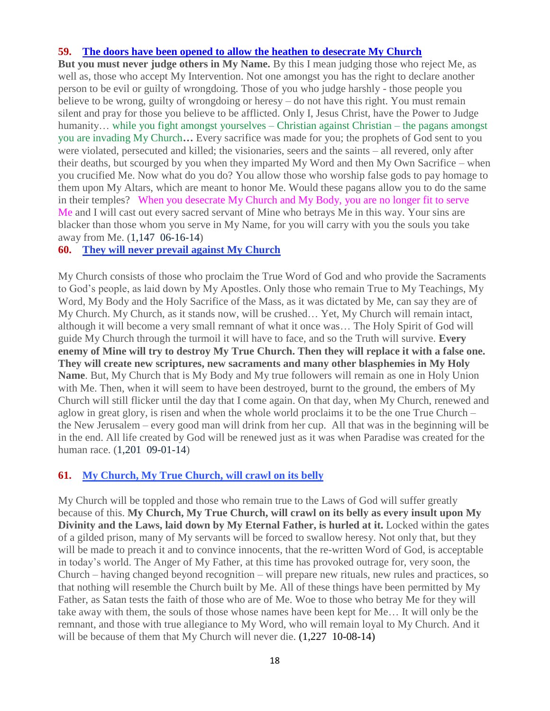#### **59. [The doors have been opened to allow the heathen to desecrate My Church](http://www.thewarningsecondcoming.com/the-doors-have-been-opened-to-allow-the-heathen-to-desecrate-my-church/)**

**But you must never judge others in My Name.** By this I mean judging those who reject Me, as well as, those who accept My Intervention. Not one amongst you has the right to declare another person to be evil or guilty of wrongdoing. Those of you who judge harshly - those people you believe to be wrong, guilty of wrongdoing or heresy – do not have this right. You must remain silent and pray for those you believe to be afflicted. Only I, Jesus Christ, have the Power to Judge humanity... while you fight amongst yourselves – Christian against Christian – the pagans amongst you are invading My Church**…** Every sacrifice was made for you; the prophets of God sent to you were violated, persecuted and killed; the visionaries, seers and the saints – all revered, only after their deaths, but scourged by you when they imparted My Word and then My Own Sacrifice – when you crucified Me. Now what do you do? You allow those who worship false gods to pay homage to them upon My Altars, which are meant to honor Me. Would these pagans allow you to do the same in their temples? When you desecrate My Church and My Body, you are no longer fit to serve Me and I will cast out every sacred servant of Mine who betrays Me in this way. Your sins are blacker than those whom you serve in My Name, for you will carry with you the souls you take away from Me. (1,147 06-16-14)

#### **60. [They will never prevail against My Church](http://www.thewarningsecondcoming.com/they-will-never-prevail-against-my-church/)**

My Church consists of those who proclaim the True Word of God and who provide the Sacraments to God's people, as laid down by My Apostles. Only those who remain True to My Teachings, My Word, My Body and the Holy Sacrifice of the Mass, as it was dictated by Me, can say they are of My Church. My Church, as it stands now, will be crushed… Yet, My Church will remain intact, although it will become a very small remnant of what it once was… The Holy Spirit of God will guide My Church through the turmoil it will have to face, and so the Truth will survive. **Every enemy of Mine will try to destroy My True Church. Then they will replace it with a false one. They will create new scriptures, new sacraments and many other blasphemies in My Holy Name**. But, My Church that is My Body and My true followers will remain as one in Holy Union with Me. Then, when it will seem to have been destroyed, burnt to the ground, the embers of My Church will still flicker until the day that I come again. On that day, when My Church, renewed and aglow in great glory, is risen and when the whole world proclaims it to be the one True Church – the New Jerusalem – every good man will drink from her cup. All that was in the beginning will be in the end. All life created by God will be renewed just as it was when Paradise was created for the human race. (1,201 09-01-14)

#### **61. [My Church, My True Church, will crawl on its belly](http://www.thewarningsecondcoming.com/my-church-my-true-church-will-crawl-on-its-belly/)**

My Church will be toppled and those who remain true to the Laws of God will suffer greatly because of this. **My Church, My True Church, will crawl on its belly as every insult upon My Divinity and the Laws, laid down by My Eternal Father, is hurled at it.** Locked within the gates of a gilded prison, many of My servants will be forced to swallow heresy. Not only that, but they will be made to preach it and to convince innocents, that the re-written Word of God, is acceptable in today's world. The Anger of My Father, at this time has provoked outrage for, very soon, the Church – having changed beyond recognition – will prepare new rituals, new rules and practices, so that nothing will resemble the Church built by Me. All of these things have been permitted by My Father, as Satan tests the faith of those who are of Me. Woe to those who betray Me for they will take away with them, the souls of those whose names have been kept for Me… It will only be the remnant, and those with true allegiance to My Word, who will remain loyal to My Church. And it will be because of them that My Church will never die.  $(1,227, 10-08-14)$